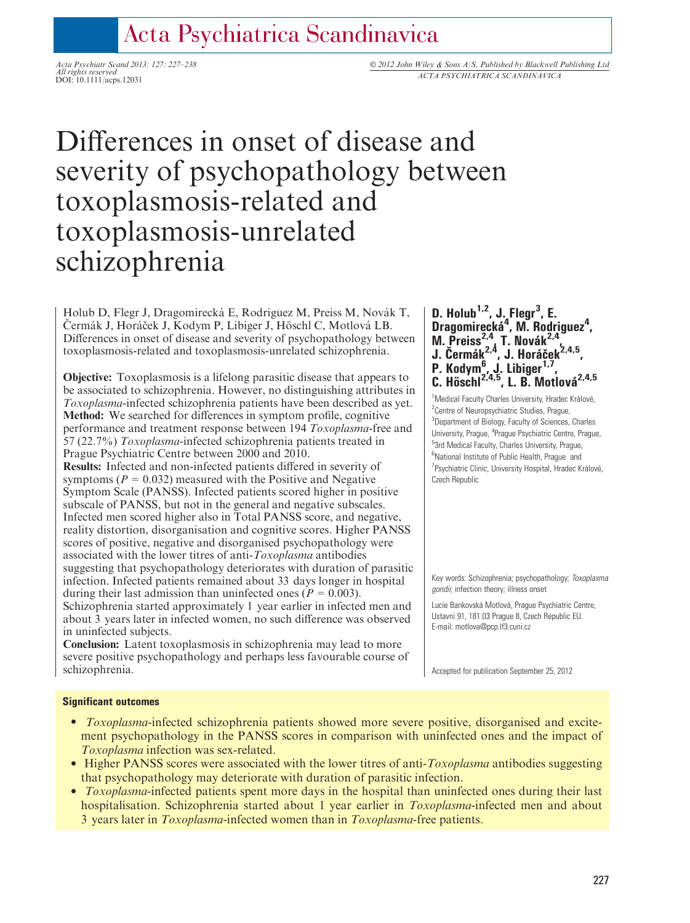## Acta Psychiatrica Scandinavica

All rights reserved<br>
DOI: 10.1111/acps.12031<br>
DOI: 10.1111/acps.12031

### Acta Psychiatr Scand 2013: 127: 227-238 © 2012 John Wiley & Sons A/S. Published by Blackwell Publishing Ltd

# Differences in onset of disease and severity of psychopathology between toxoplasmosis-related and toxoplasmosis-unrelated schizophrenia

Holub D, Flegr J, Dragomirecká E, Rodriguez M, Preiss M, Novák T, Cermák J, Horáček J, Kodym P, Libiger J, Höschl C, Motlová LB. Differences in onset of disease and severity of psychopathology between toxoplasmosis-related and toxoplasmosis-unrelated schizophrenia.

Objective: Toxoplasmosis is a lifelong parasitic disease that appears to be associated to schizophrenia. However, no distinguishing attributes in Toxoplasma-infected schizophrenia patients have been described as yet. Method: We searched for differences in symptom profile, cognitive performance and treatment response between 194 Toxoplasma-free and 57 (22.7%) Toxoplasma-infected schizophrenia patients treated in Prague Psychiatric Centre between 2000 and 2010. Results: Infected and non-infected patients differed in severity of symptoms ( $P = 0.032$ ) measured with the Positive and Negative Symptom Scale (PANSS). Infected patients scored higher in positive subscale of PANSS, but not in the general and negative subscales. Infected men scored higher also in Total PANSS score, and negative, reality distortion, disorganisation and cognitive scores. Higher PANSS scores of positive, negative and disorganised psychopathology were associated with the lower titres of anti-Toxoplasma antibodies suggesting that psychopathology deteriorates with duration of parasitic infection. Infected patients remained about 33 days longer in hospital during their last admission than uninfected ones ( $P = 0.003$ ). Schizophrenia started approximately 1 year earlier in infected men and about 3 years later in infected women, no such difference was observed in uninfected subjects.

Conclusion: Latent toxoplasmosis in schizophrenia may lead to more severe positive psychopathology and perhaps less favourable course of schizophrenia.

D. Holub<sup>1,2</sup>, J. Flegr<sup>3</sup>, E. Dragomirecká<sup>4</sup>, M. Rodriguez<sup>4</sup>, M. Preiss $2,4$ , T. Novák $2,4$ , J. Čermák<sup>2,4</sup>, J. Horáček<sup>2,4,5</sup>, P. Kodym<sup>6</sup>, J. Libiger<sup>1,7</sup>, **C.** Höschl<sup>2,4,5</sup>, L. B. Motlová<sup>2,4,5</sup>

<sup>1</sup>Medical Faculty Charles University, Hradec Králové, <sup>2</sup> Centre of Neuropsychiatric Studies, Prague, <sup>3</sup>Department of Biology, Faculty of Sciences, Charles University, Prague, <sup>4</sup>Prague Psychiatric Centre, Prague, <sup>5</sup>3rd Medical Faculty, Charles University, Prague, <sup>6</sup>National Institute of Public Health, Prague and <sup>7</sup> Psychiatric Clinic, University Hospital, Hradec Králové, Czech Republic

Key words: Schizophrenia; psychopathology; Toxoplasma gondii; infection theory; illness onset

Lucie Bankovská Motlová, Prague Psychiatric Centre, Ustavni 91, 181 03 Prague 8, Czech Republic EU. E-mail: motlova@pcp.lf3.cuni.cz

Accepted for publication September 25, 2012

#### Significant outcomes

- *Toxoplasma*-infected schizophrenia patients showed more severe positive, disorganised and excitement psychopathology in the PANSS scores in comparison with uninfected ones and the impact of Toxoplasma infection was sex-related.
- Higher PANSS scores were associated with the lower titres of anti- $Toxoplasma$  antibodies suggesting that psychopathology may deteriorate with duration of parasitic infection.
- Toxoplasma-infected patients spent more days in the hospital than uninfected ones during their last hospitalisation. Schizophrenia started about 1 year earlier in *Toxoplasma*-infected men and about 3 years later in Toxoplasma-infected women than in Toxoplasma-free patients.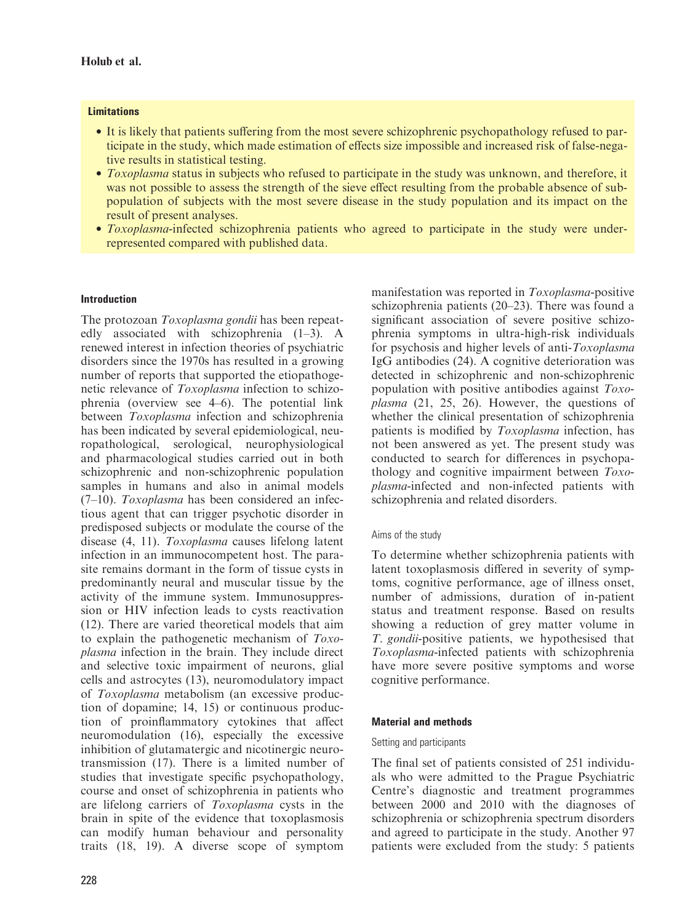#### **Limitations**

- It is likely that patients suffering from the most severe schizophrenic psychopathology refused to participate in the study, which made estimation of effects size impossible and increased risk of false-negative results in statistical testing.
- Toxoplasma status in subjects who refused to participate in the study was unknown, and therefore, it was not possible to assess the strength of the sieve effect resulting from the probable absence of subpopulation of subjects with the most severe disease in the study population and its impact on the result of present analyses.
- Toxoplasma-infected schizophrenia patients who agreed to participate in the study were underrepresented compared with published data.

#### Introduction

The protozoan Toxoplasma gondii has been repeatedly associated with schizophrenia (1–3). A renewed interest in infection theories of psychiatric disorders since the 1970s has resulted in a growing number of reports that supported the etiopathogenetic relevance of Toxoplasma infection to schizophrenia (overview see 4–6). The potential link between Toxoplasma infection and schizophrenia has been indicated by several epidemiological, neuropathological, serological, neurophysiological and pharmacological studies carried out in both schizophrenic and non-schizophrenic population samples in humans and also in animal models (7–10). Toxoplasma has been considered an infectious agent that can trigger psychotic disorder in predisposed subjects or modulate the course of the disease (4, 11). Toxoplasma causes lifelong latent infection in an immunocompetent host. The parasite remains dormant in the form of tissue cysts in predominantly neural and muscular tissue by the activity of the immune system. Immunosuppression or HIV infection leads to cysts reactivation (12). There are varied theoretical models that aim to explain the pathogenetic mechanism of Toxoplasma infection in the brain. They include direct and selective toxic impairment of neurons, glial cells and astrocytes (13), neuromodulatory impact of Toxoplasma metabolism (an excessive production of dopamine; 14, 15) or continuous production of proinflammatory cytokines that affect neuromodulation (16), especially the excessive inhibition of glutamatergic and nicotinergic neurotransmission (17). There is a limited number of studies that investigate specific psychopathology, course and onset of schizophrenia in patients who are lifelong carriers of Toxoplasma cysts in the brain in spite of the evidence that toxoplasmosis can modify human behaviour and personality traits (18, 19). A diverse scope of symptom manifestation was reported in Toxoplasma-positive schizophrenia patients (20–23). There was found a significant association of severe positive schizophrenia symptoms in ultra-high-risk individuals for psychosis and higher levels of anti-Toxoplasma IgG antibodies (24). A cognitive deterioration was detected in schizophrenic and non-schizophrenic population with positive antibodies against Toxoplasma (21, 25, 26). However, the questions of whether the clinical presentation of schizophrenia patients is modified by Toxoplasma infection, has not been answered as yet. The present study was conducted to search for differences in psychopathology and cognitive impairment between Toxoplasma-infected and non-infected patients with schizophrenia and related disorders.

#### Aims of the study

To determine whether schizophrenia patients with latent toxoplasmosis differed in severity of symptoms, cognitive performance, age of illness onset, number of admissions, duration of in-patient status and treatment response. Based on results showing a reduction of grey matter volume in T. gondii-positive patients, we hypothesised that Toxoplasma-infected patients with schizophrenia have more severe positive symptoms and worse cognitive performance.

#### Material and methods

#### Setting and participants

The final set of patients consisted of 251 individuals who were admitted to the Prague Psychiatric Centre's diagnostic and treatment programmes between 2000 and 2010 with the diagnoses of schizophrenia or schizophrenia spectrum disorders and agreed to participate in the study. Another 97 patients were excluded from the study: 5 patients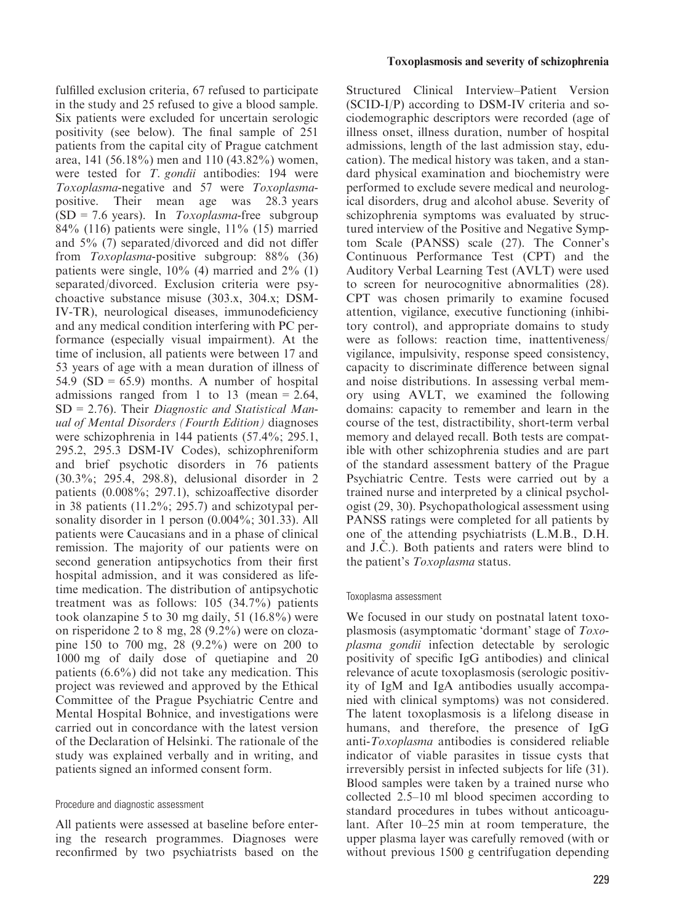fulfilled exclusion criteria, 67 refused to participate in the study and 25 refused to give a blood sample. Six patients were excluded for uncertain serologic positivity (see below). The final sample of 251 patients from the capital city of Prague catchment area, 141 (56.18%) men and 110 (43.82%) women, were tested for *T. gondii* antibodies: 194 were Toxoplasma-negative and 57 were Toxoplasmapositive. Their mean age was 28.3 years  $(SD = 7.6 \text{ years})$ . In *Toxoplasma*-free subgroup 84% (116) patients were single, 11% (15) married and 5% (7) separated/divorced and did not differ from Toxoplasma-positive subgroup: 88% (36) patients were single, 10% (4) married and 2% (1) separated/divorced. Exclusion criteria were psychoactive substance misuse (303.x, 304.x; DSM-IV-TR), neurological diseases, immunodeficiency and any medical condition interfering with PC performance (especially visual impairment). At the time of inclusion, all patients were between 17 and 53 years of age with a mean duration of illness of 54.9  $(SD = 65.9)$  months. A number of hospital admissions ranged from 1 to 13 (mean  $= 2.64$ ,  $SD = 2.76$ ). Their *Diagnostic and Statistical Man*ual of Mental Disorders (Fourth Edition) diagnoses were schizophrenia in 144 patients (57.4%; 295.1, 295.2, 295.3 DSM-IV Codes), schizophreniform and brief psychotic disorders in 76 patients (30.3%; 295.4, 298.8), delusional disorder in 2 patients (0.008%; 297.1), schizoaffective disorder in 38 patients (11.2%; 295.7) and schizotypal personality disorder in 1 person (0.004%; 301.33). All patients were Caucasians and in a phase of clinical remission. The majority of our patients were on second generation antipsychotics from their first hospital admission, and it was considered as lifetime medication. The distribution of antipsychotic treatment was as follows: 105 (34.7%) patients took olanzapine 5 to 30 mg daily, 51 (16.8%) were on risperidone 2 to 8 mg, 28 (9.2%) were on clozapine 150 to 700 mg, 28 (9.2%) were on 200 to 1000 mg of daily dose of quetiapine and 20 patients (6.6%) did not take any medication. This project was reviewed and approved by the Ethical Committee of the Prague Psychiatric Centre and Mental Hospital Bohnice, and investigations were carried out in concordance with the latest version of the Declaration of Helsinki. The rationale of the study was explained verbally and in writing, and patients signed an informed consent form.

#### Procedure and diagnostic assessment

All patients were assessed at baseline before entering the research programmes. Diagnoses were reconfirmed by two psychiatrists based on the Structured Clinical Interview–Patient Version (SCID-I/P) according to DSM-IV criteria and sociodemographic descriptors were recorded (age of illness onset, illness duration, number of hospital admissions, length of the last admission stay, education). The medical history was taken, and a standard physical examination and biochemistry were performed to exclude severe medical and neurological disorders, drug and alcohol abuse. Severity of schizophrenia symptoms was evaluated by structured interview of the Positive and Negative Symptom Scale (PANSS) scale (27). The Conner's Continuous Performance Test (CPT) and the Auditory Verbal Learning Test (AVLT) were used to screen for neurocognitive abnormalities (28). CPT was chosen primarily to examine focused attention, vigilance, executive functioning (inhibitory control), and appropriate domains to study were as follows: reaction time, inattentiveness/ vigilance, impulsivity, response speed consistency, capacity to discriminate difference between signal and noise distributions. In assessing verbal memory using AVLT, we examined the following domains: capacity to remember and learn in the course of the test, distractibility, short-term verbal memory and delayed recall. Both tests are compatible with other schizophrenia studies and are part of the standard assessment battery of the Prague Psychiatric Centre. Tests were carried out by a trained nurse and interpreted by a clinical psychologist (29, 30). Psychopathological assessment using PANSS ratings were completed for all patients by one of the attending psychiatrists (L.M.B., D.H. and J.C.). Both patients and raters were blind to the patient's Toxoplasma status.

#### Toxoplasma assessment

We focused in our study on postnatal latent toxoplasmosis (asymptomatic 'dormant' stage of Toxoplasma gondii infection detectable by serologic positivity of specific IgG antibodies) and clinical relevance of acute toxoplasmosis (serologic positivity of IgM and IgA antibodies usually accompanied with clinical symptoms) was not considered. The latent toxoplasmosis is a lifelong disease in humans, and therefore, the presence of IgG anti-Toxoplasma antibodies is considered reliable indicator of viable parasites in tissue cysts that irreversibly persist in infected subjects for life (31). Blood samples were taken by a trained nurse who collected 2.5–10 ml blood specimen according to standard procedures in tubes without anticoagulant. After 10–25 min at room temperature, the upper plasma layer was carefully removed (with or without previous 1500 g centrifugation depending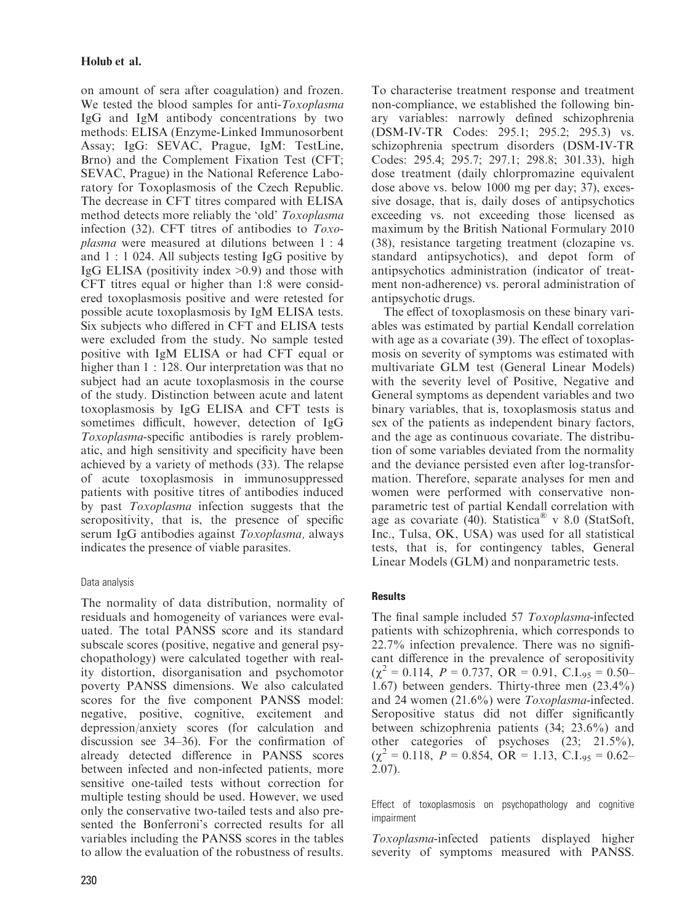on amount of sera after coagulation) and frozen. We tested the blood samples for anti-Toxoplasma IgG and IgM antibody concentrations by two methods: ELISA (Enzyme-Linked Immunosorbent Assay; IgG: SEVAC, Prague, IgM: TestLine, Brno) and the Complement Fixation Test (CFT; SEVAC, Prague) in the National Reference Laboratory for Toxoplasmosis of the Czech Republic. The decrease in CFT titres compared with ELISA method detects more reliably the 'old' Toxoplasma infection (32). CFT titres of antibodies to Toxoplasma were measured at dilutions between 1 : 4 and 1 : 1 024. All subjects testing IgG positive by IgG ELISA (positivity index  $>0.9$ ) and those with CFT titres equal or higher than 1:8 were considered toxoplasmosis positive and were retested for possible acute toxoplasmosis by IgM ELISA tests. Six subjects who differed in CFT and ELISA tests were excluded from the study. No sample tested positive with IgM ELISA or had CFT equal or higher than 1 : 128. Our interpretation was that no subject had an acute toxoplasmosis in the course of the study. Distinction between acute and latent toxoplasmosis by IgG ELISA and CFT tests is sometimes difficult, however, detection of IgG Toxoplasma-specific antibodies is rarely problematic, and high sensitivity and specificity have been achieved by a variety of methods (33). The relapse of acute toxoplasmosis in immunosuppressed patients with positive titres of antibodies induced by past Toxoplasma infection suggests that the seropositivity, that is, the presence of specific serum IgG antibodies against Toxoplasma, always indicates the presence of viable parasites.

#### Data analysis

The normality of data distribution, normality of residuals and homogeneity of variances were evaluated. The total PANSS score and its standard subscale scores (positive, negative and general psychopathology) were calculated together with reality distortion, disorganisation and psychomotor poverty PANSS dimensions. We also calculated scores for the five component PANSS model: negative, positive, cognitive, excitement and depression/anxiety scores (for calculation and discussion see 34–36). For the confirmation of already detected difference in PANSS scores between infected and non-infected patients, more sensitive one-tailed tests without correction for multiple testing should be used. However, we used only the conservative two-tailed tests and also presented the Bonferroni's corrected results for all variables including the PANSS scores in the tables to allow the evaluation of the robustness of results. To characterise treatment response and treatment non-compliance, we established the following binary variables: narrowly defined schizophrenia (DSM-IV-TR Codes: 295.1; 295.2; 295.3) vs. schizophrenia spectrum disorders (DSM-IV-TR Codes: 295.4; 295.7; 297.1; 298.8; 301.33), high dose treatment (daily chlorpromazine equivalent dose above vs. below 1000 mg per day; 37), excessive dosage, that is, daily doses of antipsychotics exceeding vs. not exceeding those licensed as maximum by the British National Formulary 2010 (38), resistance targeting treatment (clozapine vs. standard antipsychotics), and depot form of antipsychotics administration (indicator of treatment non-adherence) vs. peroral administration of antipsychotic drugs.

The effect of toxoplasmosis on these binary variables was estimated by partial Kendall correlation with age as a covariate (39). The effect of toxoplasmosis on severity of symptoms was estimated with multivariate GLM test (General Linear Models) with the severity level of Positive, Negative and General symptoms as dependent variables and two binary variables, that is, toxoplasmosis status and sex of the patients as independent binary factors, and the age as continuous covariate. The distribution of some variables deviated from the normality and the deviance persisted even after log-transformation. Therefore, separate analyses for men and women were performed with conservative nonparametric test of partial Kendall correlation with age as covariate (40). Statistica<sup>®</sup> v 8.0 (StatSoft, Inc., Tulsa, OK, USA) was used for all statistical tests, that is, for contingency tables, General Linear Models (GLM) and nonparametric tests.

#### **Results**

The final sample included 57 Toxoplasma-infected patients with schizophrenia, which corresponds to 22.7% infection prevalence. There was no significant difference in the prevalence of seropositivity  $(\chi^2 = 0.114, P = 0.737, OR = 0.91, C.L<sub>95</sub> = 0.50-$ 1.67) between genders. Thirty-three men (23.4%) and 24 women (21.6%) were Toxoplasma-infected. Seropositive status did not differ significantly between schizophrenia patients (34; 23.6%) and other categories of psychoses (23; 21.5%),  $(\chi^2 = 0.118, P = 0.854, OR = 1.13, C.I.95 = 0.62-$ 2.07).

Effect of toxoplasmosis on psychopathology and cognitive impairment

Toxoplasma-infected patients displayed higher severity of symptoms measured with PANSS.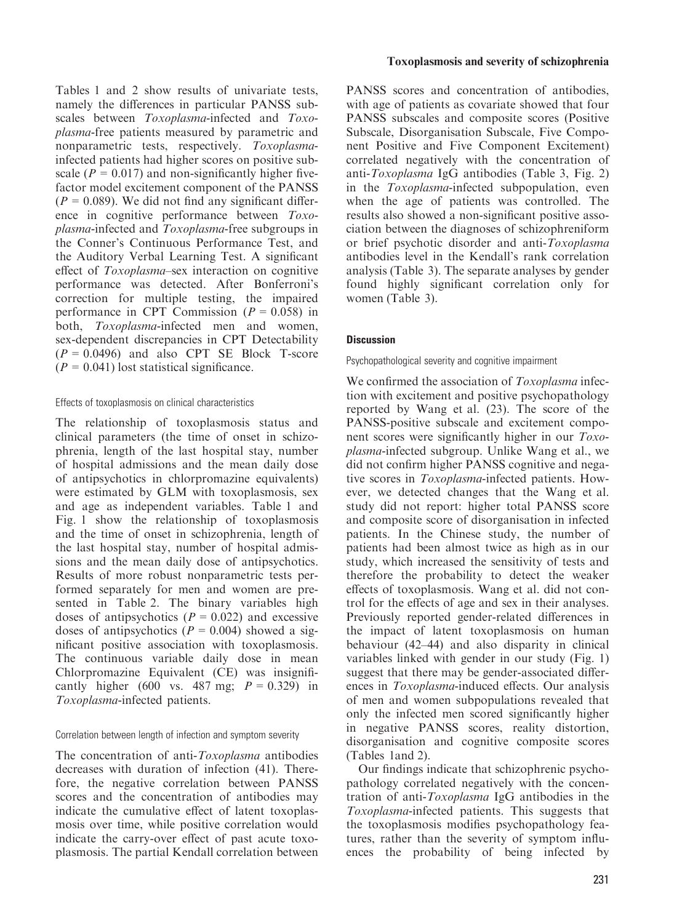Tables 1 and 2 show results of univariate tests, namely the differences in particular PANSS subscales between *Toxoplasma*-infected and *Toxo*plasma-free patients measured by parametric and nonparametric tests, respectively. Toxoplasmainfected patients had higher scores on positive subscale ( $P = 0.017$ ) and non-significantly higher fivefactor model excitement component of the PANSS  $(P = 0.089)$ . We did not find any significant difference in cognitive performance between Toxoplasma-infected and Toxoplasma-free subgroups in the Conner's Continuous Performance Test, and the Auditory Verbal Learning Test. A significant effect of Toxoplasma–sex interaction on cognitive performance was detected. After Bonferroni's correction for multiple testing, the impaired performance in CPT Commission ( $P = 0.058$ ) in both, Toxoplasma-infected men and women, sex-dependent discrepancies in CPT Detectability  $(P = 0.0496)$  and also CPT SE Block T-score  $(P = 0.041)$  lost statistical significance.

#### Effects of toxoplasmosis on clinical characteristics

The relationship of toxoplasmosis status and clinical parameters (the time of onset in schizophrenia, length of the last hospital stay, number of hospital admissions and the mean daily dose of antipsychotics in chlorpromazine equivalents) were estimated by GLM with toxoplasmosis, sex and age as independent variables. Table 1 and Fig. 1 show the relationship of toxoplasmosis and the time of onset in schizophrenia, length of the last hospital stay, number of hospital admissions and the mean daily dose of antipsychotics. Results of more robust nonparametric tests performed separately for men and women are presented in Table 2. The binary variables high doses of antipsychotics ( $P = 0.022$ ) and excessive doses of antipsychotics ( $P = 0.004$ ) showed a significant positive association with toxoplasmosis. The continuous variable daily dose in mean Chlorpromazine Equivalent (CE) was insignificantly higher (600 vs. 487 mg;  $P = 0.329$ ) in Toxoplasma-infected patients.

#### Correlation between length of infection and symptom severity

The concentration of anti-Toxoplasma antibodies decreases with duration of infection (41). Therefore, the negative correlation between PANSS scores and the concentration of antibodies may indicate the cumulative effect of latent toxoplasmosis over time, while positive correlation would indicate the carry-over effect of past acute toxoplasmosis. The partial Kendall correlation between

#### Toxoplasmosis and severity of schizophrenia

PANSS scores and concentration of antibodies, with age of patients as covariate showed that four PANSS subscales and composite scores (Positive Subscale, Disorganisation Subscale, Five Component Positive and Five Component Excitement) correlated negatively with the concentration of anti-Toxoplasma IgG antibodies (Table 3, Fig. 2) in the Toxoplasma-infected subpopulation, even when the age of patients was controlled. The results also showed a non-significant positive association between the diagnoses of schizophreniform or brief psychotic disorder and anti-Toxoplasma antibodies level in the Kendall's rank correlation analysis (Table 3). The separate analyses by gender found highly significant correlation only for women (Table 3).

#### **Discussion**

#### Psychopathological severity and cognitive impairment

We confirmed the association of *Toxoplasma* infection with excitement and positive psychopathology reported by Wang et al. (23). The score of the PANSS-positive subscale and excitement component scores were significantly higher in our Toxoplasma-infected subgroup. Unlike Wang et al., we did not confirm higher PANSS cognitive and negative scores in Toxoplasma-infected patients. However, we detected changes that the Wang et al. study did not report: higher total PANSS score and composite score of disorganisation in infected patients. In the Chinese study, the number of patients had been almost twice as high as in our study, which increased the sensitivity of tests and therefore the probability to detect the weaker effects of toxoplasmosis. Wang et al. did not control for the effects of age and sex in their analyses. Previously reported gender-related differences in the impact of latent toxoplasmosis on human behaviour (42–44) and also disparity in clinical variables linked with gender in our study (Fig. 1) suggest that there may be gender-associated differences in Toxoplasma-induced effects. Our analysis of men and women subpopulations revealed that only the infected men scored significantly higher in negative PANSS scores, reality distortion, disorganisation and cognitive composite scores (Tables 1and 2).

Our findings indicate that schizophrenic psychopathology correlated negatively with the concentration of anti-Toxoplasma IgG antibodies in the Toxoplasma-infected patients. This suggests that the toxoplasmosis modifies psychopathology features, rather than the severity of symptom influences the probability of being infected by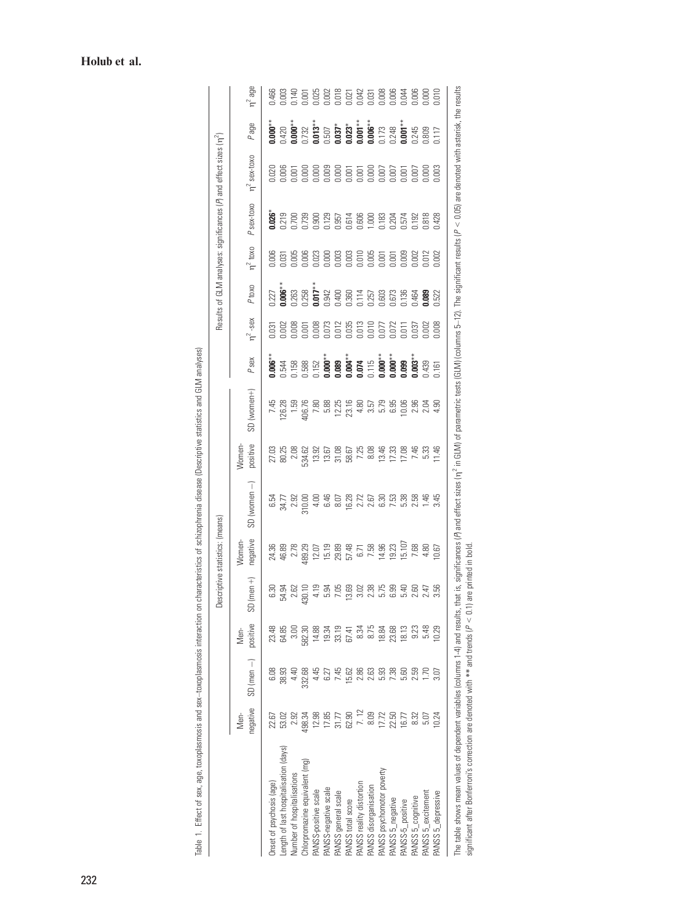|                                                                                                                                                                                                                                  |                  |                   |                  | å                   | scriptive statistics: (means) |                                                   |                                                                                                                                                                                                                                                                                                           |                |      |                                |                                  |                         |                                           | Results of GLM analyses: significances (A and effect sizes (n <sup>2</sup> ) |                                                                                                                                                                                                                                                                                                                                                           |                |
|----------------------------------------------------------------------------------------------------------------------------------------------------------------------------------------------------------------------------------|------------------|-------------------|------------------|---------------------|-------------------------------|---------------------------------------------------|-----------------------------------------------------------------------------------------------------------------------------------------------------------------------------------------------------------------------------------------------------------------------------------------------------------|----------------|------|--------------------------------|----------------------------------|-------------------------|-------------------------------------------|------------------------------------------------------------------------------|-----------------------------------------------------------------------------------------------------------------------------------------------------------------------------------------------------------------------------------------------------------------------------------------------------------------------------------------------------------|----------------|
|                                                                                                                                                                                                                                  | negative<br>Nen- | $SD (men -)$      | positive<br>Men- | $(men + )$<br>SD    | negative<br>Women-            | $SD (women -)$                                    | positive<br>Women-                                                                                                                                                                                                                                                                                        | SD (women+)    | Psex | $n^2$ -sex                     | P <sub>toxo</sub>                | $\eta^2$ toxo           | P sex-toxo                                | $n^2$ sex-toxo                                                               | Page                                                                                                                                                                                                                                                                                                                                                      | $n^2$ age      |
| Onset of psychosis (age)                                                                                                                                                                                                         |                  |                   | 23.48            | G.30                |                               |                                                   |                                                                                                                                                                                                                                                                                                           | 7.45           |      | $\overline{3}$                 | 127                              | 0.006                   | 0.026                                     | Σ                                                                            |                                                                                                                                                                                                                                                                                                                                                           |                |
| ength of last hospitalisation (days)                                                                                                                                                                                             | 53.02            | 38.93             | 64.85            | 54.94               | 24.36<br>46.89<br>2.78        | 8 5 7 8 9 9 9 9<br>8 7 8 9 9 9 9<br>8 7 9 9 9 9 9 | 27.03<br>80.21<br>80.71<br>80.82<br>81.93                                                                                                                                                                                                                                                                 | 26.28          |      | $-00$                          | $0.006***$                       | $\overline{\mathrm{g}}$ |                                           | 000                                                                          | $\begin{array}{l} \textbf{0.000}^{**}\\ 1.420\\ \textbf{1.000}^{**}\\ 1.32\\ \textbf{1.001}^{**}\\ 1.013\\ \textbf{1.01}^{**}\\ 1.013\\ \textbf{1.01}^{**}\\ 1.000\\ \textbf{1.02}^{**}\\ 1.000\\ \textbf{1.01}^{**}\\ 1.000\\ \textbf{1.01}^{**}\\ 1.000\\ \textbf{1.01}^{**}\\ 1.000\\ \textbf{1.01}^{**}\\ 1.000\\ \textbf{1.01}^{**}\\ 1.000\\ \text$ |                |
| Number of hospitalisations                                                                                                                                                                                                       | 2.92             | 4.4<              |                  |                     |                               |                                                   |                                                                                                                                                                                                                                                                                                           | 1.55           |      | $-008$                         | 1.263                            | 1005                    |                                           | 1001                                                                         |                                                                                                                                                                                                                                                                                                                                                           |                |
| Chlorpromazine equivalent (mg)                                                                                                                                                                                                   | 498.34           | 332.68            | 582.30           | $2.62$<br>30.10     | 89.29                         |                                                   |                                                                                                                                                                                                                                                                                                           | HD6.76         |      | 0.001                          | $0.258$<br>$0.017**$             | 0.006                   | 0.219<br>0.700<br>0.739                   | 1000                                                                         |                                                                                                                                                                                                                                                                                                                                                           |                |
| PANSS-positive scale                                                                                                                                                                                                             | 12.98            | 4.45              | 14.88            | 4.19                | 12.07                         |                                                   |                                                                                                                                                                                                                                                                                                           | 7.80           |      |                                |                                  | 0.023                   | 0.900                                     | 0.000                                                                        |                                                                                                                                                                                                                                                                                                                                                           |                |
| PANSS-negative scale                                                                                                                                                                                                             | 17.85            | 6.27              | 19.34            | 5.94                |                               |                                                   |                                                                                                                                                                                                                                                                                                           | 5.88           |      |                                | 1.942                            |                         | 0.129                                     | 0.009                                                                        |                                                                                                                                                                                                                                                                                                                                                           |                |
| PANSS general scale                                                                                                                                                                                                              | 31.77            | 7.45              | 33.19            | 7.05                |                               |                                                   |                                                                                                                                                                                                                                                                                                           |                |      | 073<br>0.012<br>0.013<br>0.010 |                                  |                         |                                           |                                                                              |                                                                                                                                                                                                                                                                                                                                                           |                |
| PANSS total score                                                                                                                                                                                                                | 62.90            | 15.62             | 67.41            | 13.69               |                               | 16.28                                             |                                                                                                                                                                                                                                                                                                           | 12.25<br>23.16 |      |                                |                                  |                         |                                           |                                                                              |                                                                                                                                                                                                                                                                                                                                                           |                |
| PANSS reality distortion                                                                                                                                                                                                         | $7.12$<br>8.09   | 2.86              | 8.34             | 3.02                |                               | 2.72                                              |                                                                                                                                                                                                                                                                                                           | 4.80           |      |                                | 0.400<br>0.360<br>0.757<br>0.257 |                         |                                           | 0.001                                                                        |                                                                                                                                                                                                                                                                                                                                                           |                |
| PANSS disorganisation                                                                                                                                                                                                            |                  | 2.63              | 8.75             | 2.38                |                               |                                                   |                                                                                                                                                                                                                                                                                                           | 3.57           |      |                                |                                  |                         |                                           |                                                                              |                                                                                                                                                                                                                                                                                                                                                           |                |
| PANSS psychomotor poverty                                                                                                                                                                                                        | 17.72            | 5.93              | 18.84            | 5.75                |                               | 6.30                                              | $\begin{array}{c} 13.67 \\ 23.108 \\ 56.57 \\ 67.48 \\ 78.59 \\ 89.43 \\ 13.68 \\ 14.73 \\ 15.8 \\ 16.8 \\ 17.18 \\ 18.8 \\ 19.8 \\ 19.8 \\ 13.8 \\ 14.8 \\ 15.8 \\ 16.8 \\ 17.8 \\ 18.8 \\ 19.8 \\ 19.8 \\ 19.8 \\ 19.8 \\ 19.8 \\ 19.8 \\ 19.8 \\ 19.8 \\ 19.8 \\ 19.8 \\ 19.8 \\ 19.8 \\ 19.8 \\ 19.8$ | 5.79           |      | 0.077                          | 0.603                            |                         | 0.957<br>0.614<br>0.000<br>1.000<br>1.183 |                                                                              |                                                                                                                                                                                                                                                                                                                                                           |                |
| PANSS 5_negative                                                                                                                                                                                                                 | 22.50            | 7.38              | 23.68            | 6.99                |                               | 7.53                                              |                                                                                                                                                                                                                                                                                                           | 6.95           |      | 0.072                          |                                  |                         | 0.204                                     |                                                                              |                                                                                                                                                                                                                                                                                                                                                           |                |
| PANSS-5_positive                                                                                                                                                                                                                 | 16.77            | 5.60              | 18.13            | 5.40                |                               | 5.38                                              |                                                                                                                                                                                                                                                                                                           | 0.06           |      | $\overline{5}$                 | 1.673<br>1.136                   |                         | 0.574                                     | 0.001                                                                        |                                                                                                                                                                                                                                                                                                                                                           |                |
| PANSS 5_cognitive                                                                                                                                                                                                                | 8.32             | 2.59              | 9.23             | 2.60                | 7.68                          | 2.58                                              | 7.46                                                                                                                                                                                                                                                                                                      | 2.96           |      | $-037$                         | 1.464<br>1.089                   | 0.002                   | 0.192                                     | 000 <sub>1</sub>                                                             |                                                                                                                                                                                                                                                                                                                                                           | 0.000<br>D.O.O |
| PANSS 5_excitement                                                                                                                                                                                                               | 5.07             | $\overline{1.70}$ | 5.48             | 2.47                | 4.80                          | $\frac{46}{5}$                                    | 5.33                                                                                                                                                                                                                                                                                                      | 2.04           |      | .OO                            |                                  |                         | 1.818                                     | 000                                                                          |                                                                                                                                                                                                                                                                                                                                                           |                |
| PANSS 5_depressive                                                                                                                                                                                                               | 10.24            | 3.07              | 10.29            | 3.56                | 0.67                          | 3.45                                              | 1.46                                                                                                                                                                                                                                                                                                      | 4.90           |      | 0.008                          | 1.522                            | 0.002                   | 1,428                                     | 0.003                                                                        |                                                                                                                                                                                                                                                                                                                                                           | 0.010          |
| The table shows mean values of dependent variables (columns 1-4) and results, that is, significances (A) and effect sizes (n' in GLM) of parametric tests (GLM) (columns 5-12). The significant results ( $P < 0.05$ ) are denot |                  |                   |                  |                     |                               |                                                   |                                                                                                                                                                                                                                                                                                           |                |      |                                |                                  |                         |                                           |                                                                              |                                                                                                                                                                                                                                                                                                                                                           |                |
| significant after Bonferroni's correction are denoted with ** and trends ( $P < 0.1$ )                                                                                                                                           |                  |                   |                  | are printed in bold |                               |                                                   |                                                                                                                                                                                                                                                                                                           |                |      |                                |                                  |                         |                                           |                                                                              |                                                                                                                                                                                                                                                                                                                                                           |                |

Table 1. Effect of sex, age, toxoplasmosis and sex-toxoplasmosis interaction on characteristics of schizophrenia disease (Descriptive statistics and GLM analyses) Table 1. Effect of sex, age, toxoplasmosis and sex–toxoplasmosis interaction on characteristics of schizophrenia disease (Descriptive statistics and GLM analyses)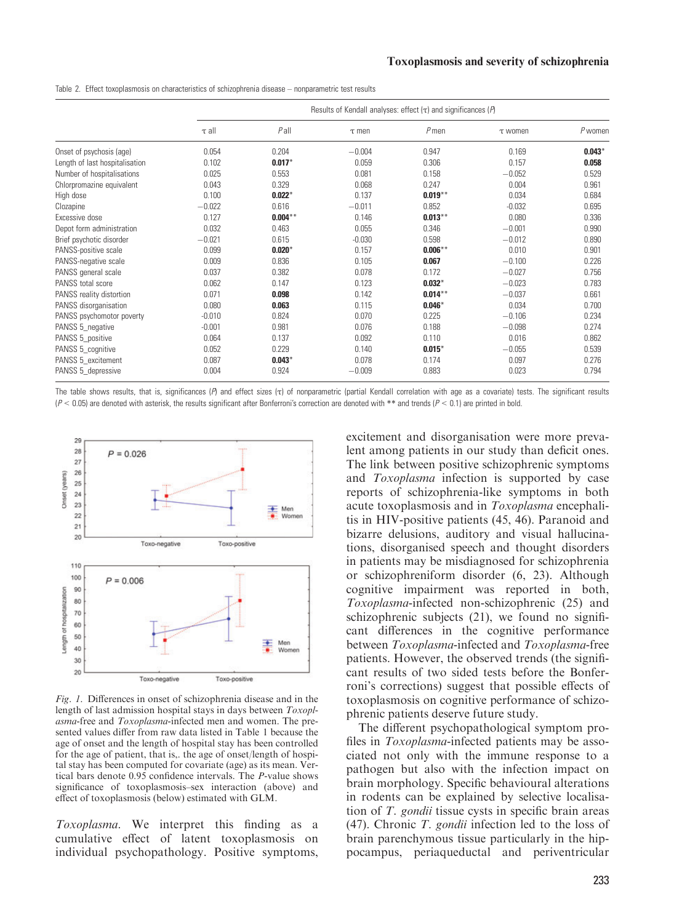| Table 2. Effect toxoplasmosis on characteristics of schizophrenia disease – nonparametric test results |  |
|--------------------------------------------------------------------------------------------------------|--|
|--------------------------------------------------------------------------------------------------------|--|

|                                |            | Results of Kendall analyses: effect $(\tau)$ and significances ( $P$ ) |            |            |              |           |  |  |  |  |  |
|--------------------------------|------------|------------------------------------------------------------------------|------------|------------|--------------|-----------|--|--|--|--|--|
|                                | $\tau$ all | $P$ all                                                                | $\tau$ men | $P$ men    | $\tau$ women | $P$ women |  |  |  |  |  |
| Onset of psychosis (age)       | 0.054      | 0.204                                                                  | $-0.004$   | 0.947      | 0.169        | $0.043*$  |  |  |  |  |  |
| Length of last hospitalisation | 0.102      | $0.017*$                                                               | 0.059      | 0.306      | 0.157        | 0.058     |  |  |  |  |  |
| Number of hospitalisations     | 0.025      | 0.553                                                                  | 0.081      | 0.158      | $-0.052$     | 0.529     |  |  |  |  |  |
| Chlorpromazine equivalent      | 0.043      | 0.329                                                                  | 0.068      | 0.247      | 0.004        | 0.961     |  |  |  |  |  |
| High dose                      | 0.100      | $0.022*$                                                               | 0.137      | $0.019***$ | 0.034        | 0.684     |  |  |  |  |  |
| Clozapine                      | $-0.022$   | 0.616                                                                  | $-0.011$   | 0.852      | $-0.032$     | 0.695     |  |  |  |  |  |
| Excessive dose                 | 0.127      | $0.004***$                                                             | 0.146      | $0.013***$ | 0.080        | 0.336     |  |  |  |  |  |
| Depot form administration      | 0.032      | 0.463                                                                  | 0.055      | 0.346      | $-0.001$     | 0.990     |  |  |  |  |  |
| Brief psychotic disorder       | $-0.021$   | 0.615                                                                  | $-0.030$   | 0.598      | $-0.012$     | 0.890     |  |  |  |  |  |
| PANSS-positive scale           | 0.099      | $0.020*$                                                               | 0.157      | $0.006***$ | 0.010        | 0.901     |  |  |  |  |  |
| PANSS-negative scale           | 0.009      | 0.836                                                                  | 0.105      | 0.067      | $-0.100$     | 0.226     |  |  |  |  |  |
| PANSS general scale            | 0.037      | 0.382                                                                  | 0.078      | 0.172      | $-0.027$     | 0.756     |  |  |  |  |  |
| PANSS total score              | 0.062      | 0.147                                                                  | 0.123      | $0.032*$   | $-0.023$     | 0.783     |  |  |  |  |  |
| PANSS reality distortion       | 0.071      | 0.098                                                                  | 0.142      | $0.014***$ | $-0.037$     | 0.661     |  |  |  |  |  |
| PANSS disorganisation          | 0.080      | 0.063                                                                  | 0.115      | $0.046*$   | 0.034        | 0.700     |  |  |  |  |  |
| PANSS psychomotor poverty      | $-0.010$   | 0.824                                                                  | 0.070      | 0.225      | $-0.106$     | 0.234     |  |  |  |  |  |
| PANSS 5_negative               | $-0.001$   | 0.981                                                                  | 0.076      | 0.188      | $-0.098$     | 0.274     |  |  |  |  |  |
| PANSS 5_positive               | 0.064      | 0.137                                                                  | 0.092      | 0.110      | 0.016        | 0.862     |  |  |  |  |  |
| PANSS 5_cognitive              | 0.052      | 0.229                                                                  | 0.140      | $0.015*$   | $-0.055$     | 0.539     |  |  |  |  |  |
| PANSS 5_excitement             | 0.087      | $0.043*$                                                               | 0.078      | 0.174      | 0.097        | 0.276     |  |  |  |  |  |
| PANSS 5_depressive             | 0.004      | 0.924                                                                  | $-0.009$   | 0.883      | 0.023        | 0.794     |  |  |  |  |  |

The table shows results, that is, significances (*P*) and effect sizes (τ) of nonparametric (partial Kendall correlation with age as a covariate) tests. The significant results  $(P < 0.05)$  are denoted with asterisk, the results significant after Bonferroni's correction are denoted with \*\* and trends  $(P < 0.1)$  are printed in bold.



Fig. 1. Differences in onset of schizophrenia disease and in the length of last admission hospital stays in days between Toxoplasma-free and Toxoplasma-infected men and women. The presented values differ from raw data listed in Table 1 because the age of onset and the length of hospital stay has been controlled for the age of patient, that is,. the age of onset/length of hospital stay has been computed for covariate (age) as its mean. Vertical bars denote 0.95 confidence intervals. The P-value shows significance of toxoplasmosis–sex interaction (above) and effect of toxoplasmosis (below) estimated with GLM.

Toxoplasma. We interpret this finding as a cumulative effect of latent toxoplasmosis on individual psychopathology. Positive symptoms, excitement and disorganisation were more prevalent among patients in our study than deficit ones. The link between positive schizophrenic symptoms and Toxoplasma infection is supported by case reports of schizophrenia-like symptoms in both acute toxoplasmosis and in Toxoplasma encephalitis in HIV-positive patients (45, 46). Paranoid and bizarre delusions, auditory and visual hallucinations, disorganised speech and thought disorders in patients may be misdiagnosed for schizophrenia or schizophreniform disorder (6, 23). Although cognitive impairment was reported in both, Toxoplasma-infected non-schizophrenic (25) and schizophrenic subjects (21), we found no significant differences in the cognitive performance between Toxoplasma-infected and Toxoplasma-free patients. However, the observed trends (the significant results of two sided tests before the Bonferroni's corrections) suggest that possible effects of toxoplasmosis on cognitive performance of schizophrenic patients deserve future study.

The different psychopathological symptom profiles in Toxoplasma-infected patients may be associated not only with the immune response to a pathogen but also with the infection impact on brain morphology. Specific behavioural alterations in rodents can be explained by selective localisation of T. gondii tissue cysts in specific brain areas (47). Chronic T. gondii infection led to the loss of brain parenchymous tissue particularly in the hippocampus, periaqueductal and periventricular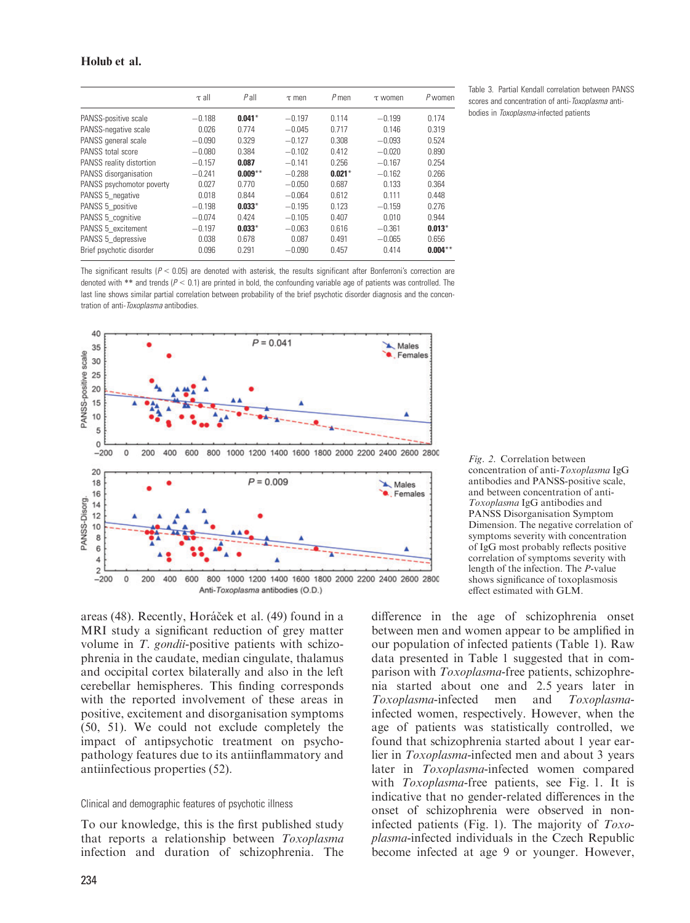#### Holub et al.

|                           | $\tau$ all | $P$ all   | $\tau$ men | $P$ men  | $\tau$ women | P women    |
|---------------------------|------------|-----------|------------|----------|--------------|------------|
| PANSS-positive scale      | $-0.188$   | $0.041*$  | $-0.197$   | 0.114    | $-0.199$     | 0.174      |
| PANSS-negative scale      | 0.026      | 0.774     | $-0.045$   | 0.717    | 0.146        | 0.319      |
| PANSS general scale       | $-0.090$   | 0.329     | $-0.127$   | 0.308    | $-0.093$     | 0.524      |
| PANSS total score         | $-0.080$   | 0.384     | $-0.102$   | 0.412    | $-0.020$     | 0.890      |
| PANSS reality distortion  | $-0.157$   | 0.087     | $-0.141$   | 0.256    | $-0.167$     | 0.254      |
| PANSS disorganisation     | $-0.241$   | $0.009**$ | $-0.288$   | $0.021*$ | $-0.162$     | 0.266      |
| PANSS psychomotor poverty | 0.027      | 0.770     | $-0.050$   | 0.687    | 0.133        | 0.364      |
| PANSS 5 negative          | 0.018      | 0.844     | $-0.064$   | 0.612    | 0.111        | 0.448      |
| PANSS 5_positive          | $-0.198$   | $0.033*$  | $-0.195$   | 0.123    | $-0.159$     | 0.276      |
| PANSS 5 cognitive         | $-0.074$   | 0.424     | $-0.105$   | 0.407    | 0.010        | 0.944      |
| PANSS 5 excitement        | $-0.197$   | $0.033*$  | $-0.063$   | 0.616    | $-0.361$     | $0.013*$   |
| PANSS 5 depressive        | 0.038      | 0.678     | 0.087      | 0.491    | $-0.065$     | 0.656      |
| Brief psychotic disorder  | 0.096      | 0.291     | $-0.090$   | 0.457    | 0.414        | $0.004***$ |

Table 3. Partial Kendall correlation between PANSS scores and concentration of anti-Toxoplasma antibodies in Toxoplasma-infected patients

The significant results ( $P < 0.05$ ) are denoted with asterisk, the results significant after Bonferroni's correction are denoted with \*\* and trends ( $P < 0.1$ ) are printed in bold, the confounding variable age of patients was controlled. The last line shows similar partial correlation between probability of the brief psychotic disorder diagnosis and the concentration of anti-Toxoplasma antibodies.



Fig. 2. Correlation between concentration of anti-Toxoplasma IgG antibodies and PANSS-positive scale, and between concentration of anti-Toxoplasma IgG antibodies and PANSS Disorganisation Symptom Dimension. The negative correlation of symptoms severity with concentration of IgG most probably reflects positive correlation of symptoms severity with length of the infection. The P-value shows significance of toxoplasmosis effect estimated with GLM.

areas (48). Recently, Horáček et al. (49) found in a MRI study a significant reduction of grey matter volume in T. gondii-positive patients with schizophrenia in the caudate, median cingulate, thalamus and occipital cortex bilaterally and also in the left cerebellar hemispheres. This finding corresponds with the reported involvement of these areas in positive, excitement and disorganisation symptoms (50, 51). We could not exclude completely the impact of antipsychotic treatment on psychopathology features due to its antiinflammatory and antiinfectious properties (52).

#### Clinical and demographic features of psychotic illness

To our knowledge, this is the first published study that reports a relationship between Toxoplasma infection and duration of schizophrenia. The difference in the age of schizophrenia onset between men and women appear to be amplified in our population of infected patients (Table 1). Raw data presented in Table 1 suggested that in comparison with Toxoplasma-free patients, schizophrenia started about one and 2.5 years later in Toxoplasma-infected men and Toxoplasmainfected women, respectively. However, when the age of patients was statistically controlled, we found that schizophrenia started about 1 year earlier in Toxoplasma-infected men and about 3 years later in *Toxoplasma*-infected women compared with *Toxoplasma*-free patients, see Fig. 1. It is indicative that no gender-related differences in the onset of schizophrenia were observed in noninfected patients (Fig. 1). The majority of  $Toxo$ plasma-infected individuals in the Czech Republic become infected at age 9 or younger. However,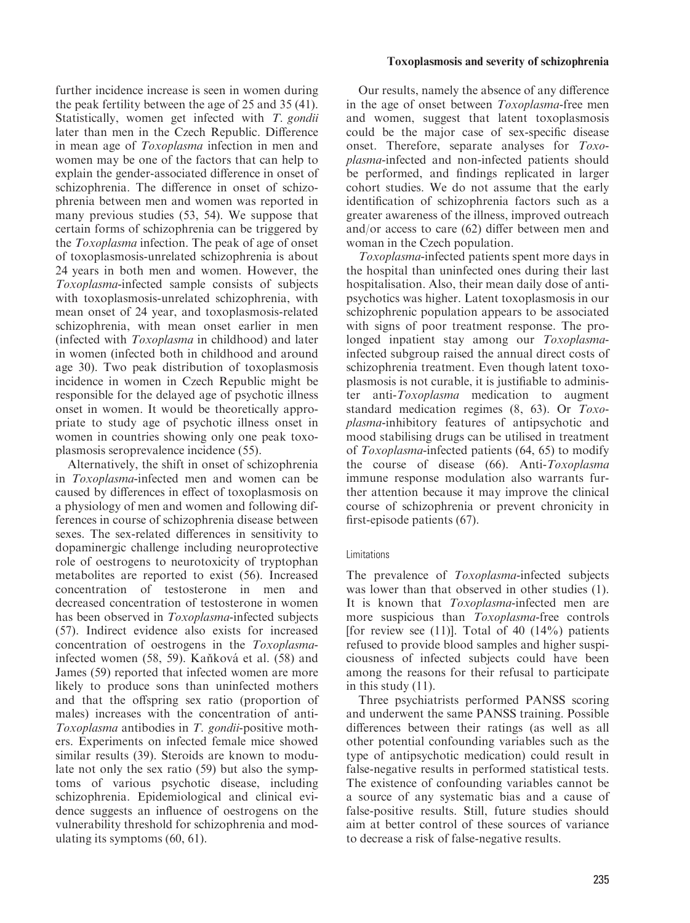further incidence increase is seen in women during the peak fertility between the age of 25 and 35 (41). Statistically, women get infected with T. gondii later than men in the Czech Republic. Difference in mean age of Toxoplasma infection in men and women may be one of the factors that can help to explain the gender-associated difference in onset of schizophrenia. The difference in onset of schizophrenia between men and women was reported in many previous studies (53, 54). We suppose that certain forms of schizophrenia can be triggered by the Toxoplasma infection. The peak of age of onset of toxoplasmosis-unrelated schizophrenia is about 24 years in both men and women. However, the Toxoplasma-infected sample consists of subjects with toxoplasmosis-unrelated schizophrenia, with mean onset of 24 year, and toxoplasmosis-related schizophrenia, with mean onset earlier in men (infected with Toxoplasma in childhood) and later in women (infected both in childhood and around age 30). Two peak distribution of toxoplasmosis incidence in women in Czech Republic might be responsible for the delayed age of psychotic illness onset in women. It would be theoretically appropriate to study age of psychotic illness onset in women in countries showing only one peak toxoplasmosis seroprevalence incidence (55).

Alternatively, the shift in onset of schizophrenia in Toxoplasma-infected men and women can be caused by differences in effect of toxoplasmosis on a physiology of men and women and following differences in course of schizophrenia disease between sexes. The sex-related differences in sensitivity to dopaminergic challenge including neuroprotective role of oestrogens to neurotoxicity of tryptophan metabolites are reported to exist (56). Increased concentration of testosterone in men and decreased concentration of testosterone in women has been observed in *Toxoplasma*-infected subjects (57). Indirect evidence also exists for increased concentration of oestrogens in the Toxoplasmainfected women (58, 59). Kaňková et al. (58) and James (59) reported that infected women are more likely to produce sons than uninfected mothers and that the offspring sex ratio (proportion of males) increases with the concentration of anti-Toxoplasma antibodies in T. gondii-positive mothers. Experiments on infected female mice showed similar results (39). Steroids are known to modulate not only the sex ratio (59) but also the symptoms of various psychotic disease, including schizophrenia. Epidemiological and clinical evidence suggests an influence of oestrogens on the vulnerability threshold for schizophrenia and modulating its symptoms (60, 61).

#### Toxoplasmosis and severity of schizophrenia

Our results, namely the absence of any difference in the age of onset between Toxoplasma-free men and women, suggest that latent toxoplasmosis could be the major case of sex-specific disease onset. Therefore, separate analyses for Toxoplasma-infected and non-infected patients should be performed, and findings replicated in larger cohort studies. We do not assume that the early identification of schizophrenia factors such as a greater awareness of the illness, improved outreach and/or access to care (62) differ between men and woman in the Czech population.

Toxoplasma-infected patients spent more days in the hospital than uninfected ones during their last hospitalisation. Also, their mean daily dose of antipsychotics was higher. Latent toxoplasmosis in our schizophrenic population appears to be associated with signs of poor treatment response. The prolonged inpatient stay among our Toxoplasmainfected subgroup raised the annual direct costs of schizophrenia treatment. Even though latent toxoplasmosis is not curable, it is justifiable to administer anti-Toxoplasma medication to augment standard medication regimes (8, 63). Or Toxoplasma-inhibitory features of antipsychotic and mood stabilising drugs can be utilised in treatment of Toxoplasma-infected patients (64, 65) to modify the course of disease (66). Anti-Toxoplasma immune response modulation also warrants further attention because it may improve the clinical course of schizophrenia or prevent chronicity in first-episode patients (67).

#### Limitations

The prevalence of *Toxoplasma*-infected subjects was lower than that observed in other studies (1). It is known that Toxoplasma-infected men are more suspicious than Toxoplasma-free controls [for review see (11)]. Total of 40  $(14\%)$  patients refused to provide blood samples and higher suspiciousness of infected subjects could have been among the reasons for their refusal to participate in this study (11).

Three psychiatrists performed PANSS scoring and underwent the same PANSS training. Possible differences between their ratings (as well as all other potential confounding variables such as the type of antipsychotic medication) could result in false-negative results in performed statistical tests. The existence of confounding variables cannot be a source of any systematic bias and a cause of false-positive results. Still, future studies should aim at better control of these sources of variance to decrease a risk of false-negative results.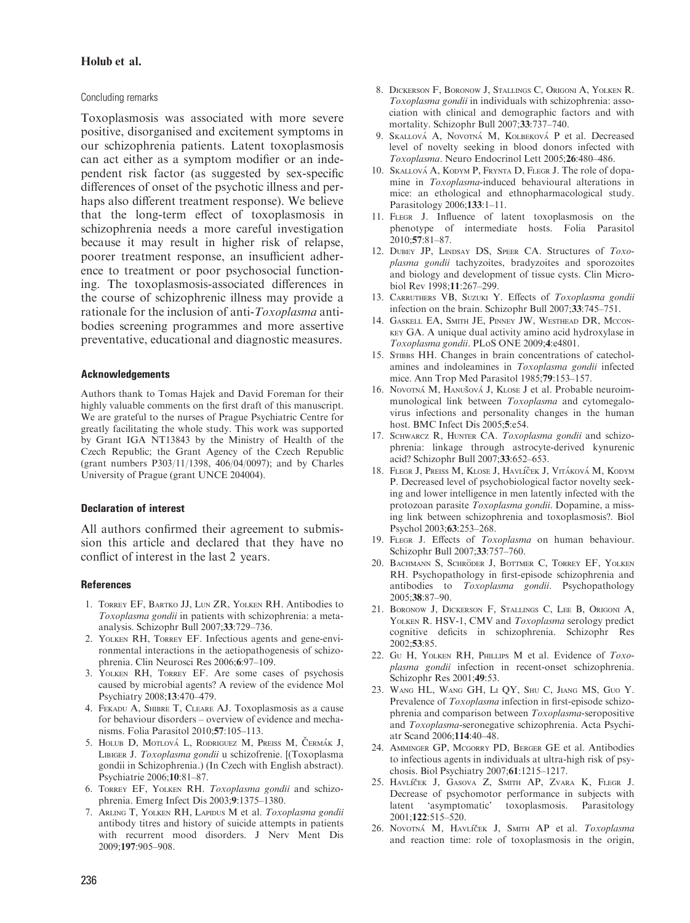#### Holub et al.

#### Concluding remarks

Toxoplasmosis was associated with more severe positive, disorganised and excitement symptoms in our schizophrenia patients. Latent toxoplasmosis can act either as a symptom modifier or an independent risk factor (as suggested by sex-specific differences of onset of the psychotic illness and perhaps also different treatment response). We believe that the long-term effect of toxoplasmosis in schizophrenia needs a more careful investigation because it may result in higher risk of relapse, poorer treatment response, an insufficient adherence to treatment or poor psychosocial functioning. The toxoplasmosis-associated differences in the course of schizophrenic illness may provide a rationale for the inclusion of anti-Toxoplasma antibodies screening programmes and more assertive preventative, educational and diagnostic measures.

#### Acknowledgements

Authors thank to Tomas Hajek and David Foreman for their highly valuable comments on the first draft of this manuscript. We are grateful to the nurses of Prague Psychiatric Centre for greatly facilitating the whole study. This work was supported by Grant IGA NT13843 by the Ministry of Health of the Czech Republic; the Grant Agency of the Czech Republic (grant numbers P303/11/1398, 406/04/0097); and by Charles University of Prague (grant UNCE 204004).

#### Declaration of interest

All authors confirmed their agreement to submission this article and declared that they have no conflict of interest in the last 2 years.

#### **References**

- 1. Torrey EF, Bartko JJ, Lun ZR, Yolken RH. Antibodies to Toxoplasma gondii in patients with schizophrenia: a metaanalysis. Schizophr Bull 2007;33:729–736.
- 2. Yolken RH, Torrey EF. Infectious agents and gene-environmental interactions in the aetiopathogenesis of schizophrenia. Clin Neurosci Res 2006;6:97–109.
- 3. Yolken RH, Torrey EF. Are some cases of psychosis caused by microbial agents? A review of the evidence Mol Psychiatry 2008;13:470–479.
- 4. Fekadu A, Shibre T, Cleare AJ. Toxoplasmosis as a cause for behaviour disorders – overview of evidence and mechanisms. Folia Parasitol 2010;57:105–113.
- 5. HOLUB D, MOTLOVÁ L, RODRIGUEZ M, PREISS M, ČERMÁK J, Libiger J. Toxoplasma gondii u schizofrenie. [(Toxoplasma gondii in Schizophrenia.) (In Czech with English abstract). Psychiatrie 2006;10:81–87.
- 6. Torrey EF, Yolken RH. Toxoplasma gondii and schizophrenia. Emerg Infect Dis 2003;9:1375–1380.
- 7. ARLING T, YOLKEN RH, LAPIDUS M et al. Toxoplasma gondii antibody titres and history of suicide attempts in patients with recurrent mood disorders. J Nerv Ment Dis 2009;197:905–908.
- 8. Dickerson F, Boronow J, Stallings C, Origoni A, Yolken R. Toxoplasma gondii in individuals with schizophrenia: association with clinical and demographic factors and with mortality. Schizophr Bull 2007;33:737–740.
- 9. SKALLOVÁ A, NOVOTNÁ M, KOLBEKOVÁ P et al. Decreased level of novelty seeking in blood donors infected with Toxoplasma. Neuro Endocrinol Lett 2005;26:480–486.
- 10. SKALLOVÁ A, KODYM P, FRYNTA D, FLEGR J. The role of dopamine in Toxoplasma-induced behavioural alterations in mice: an ethological and ethnopharmacological study. Parasitology 2006;133:1–11.
- 11. Flegr J. Influence of latent toxoplasmosis on the phenotype of intermediate hosts. Folia Parasitol 2010;57:81–87.
- 12. DUBEY JP, LINDSAY DS, SPEER CA. Structures of Toxoplasma gondii tachyzoites, bradyzoites and sporozoites and biology and development of tissue cysts. Clin Microbiol Rev 1998;11:267–299.
- 13. CARRUTHERS VB, SUZUKI Y. Effects of Toxoplasma gondii infection on the brain. Schizophr Bull 2007;33:745–751.
- 14. Gaskell EA, Smith JE, Pinney JW, Westhead DR, Mcconkey GA. A unique dual activity amino acid hydroxylase in Toxoplasma gondii. PLoS ONE 2009;4:e4801.
- 15. STIBBS HH. Changes in brain concentrations of catecholamines and indoleamines in Toxoplasma gondii infected mice. Ann Trop Med Parasitol 1985;79:153–157.
- 16. Novorná M, Hanušová J, KLose J et al. Probable neuroimmunological link between Toxoplasma and cytomegalovirus infections and personality changes in the human host. BMC Infect Dis 2005;5:e54.
- 17. SCHWARCZ R, HUNTER CA. Toxoplasma gondii and schizophrenia: linkage through astrocyte-derived kynurenic acid? Schizophr Bull 2007;33:652–653.
- 18. FLEGR J, PREISS M, KLOSE J, HAVLÍČEK J, VITÁKOVÁ M, KODYM P. Decreased level of psychobiological factor novelty seeking and lower intelligence in men latently infected with the protozoan parasite Toxoplasma gondii. Dopamine, a missing link between schizophrenia and toxoplasmosis?. Biol Psychol 2003;63:253–268.
- 19. FLEGR J. Effects of Toxoplasma on human behaviour. Schizophr Bull 2007;33:757–760.
- 20. BACHMANN S, SCHRÖDER J, BOTTMER C, TORREY EF, YOLKEN RH. Psychopathology in first-episode schizophrenia and antibodies to Toxoplasma gondii. Psychopathology 2005;38:87–90.
- 21. Boronow J, Dickerson F, Stallings C, Lee B, Origoni A, YOLKEN R. HSV-1, CMV and Toxoplasma serology predict cognitive deficits in schizophrenia. Schizophr Res 2002;53:85.
- 22. Gu H, YOLKEN RH, PHILLIPS M et al. Evidence of Toxoplasma gondii infection in recent-onset schizophrenia. Schizophr Res 2001;49:53.
- 23. Wang HL, Wang GH, Li QY, Shu C, Jiang MS, Guo Y. Prevalence of Toxoplasma infection in first-episode schizophrenia and comparison between Toxoplasma-seropositive and Toxoplasma-seronegative schizophrenia. Acta Psychiatr Scand 2006;114:40–48.
- 24. Amminger GP, Mcgorry PD, Berger GE et al. Antibodies to infectious agents in individuals at ultra-high risk of psychosis. Biol Psychiatry 2007;61:1215–1217.
- 25. HAVLÍČEK J, GASOVA Z, SMITH AP, ZVARA K, FLEGR J. Decrease of psychomotor performance in subjects with latent 'asymptomatic' toxoplasmosis. Parasitology 2001;122:515–520.
- 26. Novotná M, HAVLíček J, SMITH AP et al. Toxoplasma and reaction time: role of toxoplasmosis in the origin,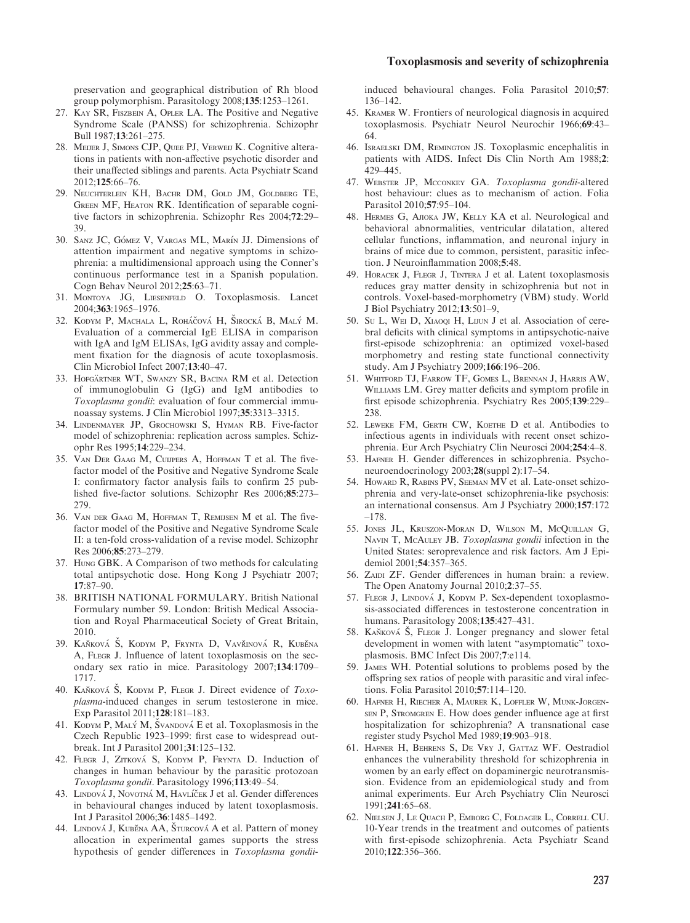preservation and geographical distribution of Rh blood group polymorphism. Parasitology 2008;135:1253–1261.

- 27. Kay SR, Fiszbein A, Opler LA. The Positive and Negative Syndrome Scale (PANSS) for schizophrenia. Schizophr Bull 1987;13:261–275.
- 28. Meijer J, Simons CJP, Quee PJ, Verweij K. Cognitive alterations in patients with non-affective psychotic disorder and their unaffected siblings and parents. Acta Psychiatr Scand 2012;125:66–76.
- 29. Neuchterlein KH, Bachr DM, Gold JM, Goldberg TE, GREEN MF, HEATON RK. Identification of separable cognitive factors in schizophrenia. Schizophr Res 2004;72:29– 39.
- 30. SANZ JC, GÓMEZ V, VARGAS ML, MARÍN JJ. Dimensions of attention impairment and negative symptoms in schizophrenia: a multidimensional approach using the Conner's continuous performance test in a Spanish population. Cogn Behav Neurol 2012;25:63–71.
- 31. Montoya JG, Liesenfeld O. Toxoplasmosis. Lancet 2004;363:1965–1976.
- 32. KODYM P, MACHALA L, ROHÁČOVÁ H, ŠIROCKÁ B, MALÝ M. Evaluation of a commercial IgE ELISA in comparison with IgA and IgM ELISAs, IgG avidity assay and complement fixation for the diagnosis of acute toxoplasmosis. Clin Microbiol Infect 2007;13:40–47.
- 33. HOFGÄRTNER WT, SWANZY SR, BACINA RM et al. Detection of immunoglobulin G (IgG) and IgM antibodies to Toxoplasma gondii: evaluation of four commercial immunoassay systems. J Clin Microbiol 1997;35:3313–3315.
- 34. Lindenmayer JP, Grochowski S, Hyman RB. Five-factor model of schizophrenia: replication across samples. Schizophr Res 1995;14:229–234.
- 35. Van Der Gaag M, Cuijpers A, Hoffman T et al. The fivefactor model of the Positive and Negative Syndrome Scale I: confirmatory factor analysis fails to confirm 25 published five-factor solutions. Schizophr Res 2006;85:273– 279.
- 36. Van der Gaag M, Hoffman T, Remijsen M et al. The fivefactor model of the Positive and Negative Syndrome Scale II: a ten-fold cross-validation of a revise model. Schizophr Res 2006;85:273–279.
- 37. Hung GBK. A Comparison of two methods for calculating total antipsychotic dose. Hong Kong J Psychiatr 2007; 17:87–90.
- 38. BRITISH NATIONAL FORMULARY. British National Formulary number 59. London: British Medical Association and Royal Pharmaceutical Society of Great Britain, 2010.
- 39. KAŇKOVÁ Š, KODYM P, FRYNTA D, VAVŘINOVÁ R, KUBĚNA A, FLEGR J. Influence of latent toxoplasmosis on the secondary sex ratio in mice. Parasitology 2007;134:1709– 1717.
- 40. KANKOVÁ Š, KODYM P, FLEGR J. Direct evidence of  $Toxo$ plasma-induced changes in serum testosterone in mice. Exp Parasitol 2011;128:181–183.
- 41. KODYM P, MALÝ M, ŠVANDOVÁ E et al. Toxoplasmosis in the Czech Republic 1923–1999: first case to widespread outbreak. Int J Parasitol 2001;31:125–132.
- 42. FLEGR J, ZITKOVÁ S, KODYM P, FRYNTA D. Induction of changes in human behaviour by the parasitic protozoan Toxoplasma gondii. Parasitology 1996;113:49–54.
- 43. LINDOVÁ J, NOVOTNÁ M, HAVLÍČEK J et al. Gender differences in behavioural changes induced by latent toxoplasmosis. Int J Parasitol 2006;36:1485–1492.
- 44. LINDOVÁ J, KUBĚNA AA, ŠTURCOVÁ A et al. Pattern of money allocation in experimental games supports the stress hypothesis of gender differences in Toxoplasma gondii-

induced behavioural changes. Folia Parasitol 2010;57: 136–142.

- 45. Kramer W. Frontiers of neurological diagnosis in acquired toxoplasmosis. Psychiatr Neurol Neurochir 1966;69:43-64.
- 46. Israelski DM, Remington JS. Toxoplasmic encephalitis in patients with AIDS. Infect Dis Clin North Am 1988;2: 429–445.
- 47. WEBSTER JP, MCCONKEY GA. Toxoplasma gondii-altered host behaviour: clues as to mechanism of action. Folia Parasitol 2010;57:95–104.
- 48. Hermes G, Ajioka JW, Kelly KA et al. Neurological and behavioral abnormalities, ventricular dilatation, altered cellular functions, inflammation, and neuronal injury in brains of mice due to common, persistent, parasitic infection. J Neuroinflammation 2008;5:48.
- 49. HORACEK J, FLEGR J, TINTERA J et al. Latent toxoplasmosis reduces gray matter density in schizophrenia but not in controls. Voxel-based-morphometry (VBM) study. World J Biol Psychiatry 2012;13:501–9,
- 50. Su L, WEI D, XIAOQI H, LIJUN J et al. Association of cerebral deficits with clinical symptoms in antipsychotic-naive first-episode schizophrenia: an optimized voxel-based morphometry and resting state functional connectivity study. Am J Psychiatry 2009;166:196–206.
- 51. Whitford TJ, Farrow TF, Gomes L, Brennan J, Harris AW, Williams LM. Grey matter deficits and symptom profile in first episode schizophrenia. Psychiatry Res 2005;139:229– 238.
- 52. LEWEKE FM, GERTH CW, KOETHE D et al. Antibodies to infectious agents in individuals with recent onset schizophrenia. Eur Arch Psychiatry Clin Neurosci 2004;254:4–8.
- 53. Hafner H. Gender differences in schizophrenia. Psychoneuroendocrinology 2003;28(suppl 2):17–54.
- 54. Howard R, Rabins PV, Seeman MV et al. Late-onset schizophrenia and very-late-onset schizophrenia-like psychosis: an international consensus. Am J Psychiatry 2000;157:172 –178.
- 55. Jones JL, Kruszon-Moran D, Wilson M, McQuillan G, NAVIN T, McAULEY JB. Toxoplasma gondii infection in the United States: seroprevalence and risk factors. Am J Epidemiol 2001;54:357–365.
- 56. ZAIDI ZF. Gender differences in human brain: a review. The Open Anatomy Journal 2010;2:37–55.
- 57. FLEGR J, LINDOVÁ J, KODYM P. Sex-dependent toxoplasmosis-associated differences in testosterone concentration in humans. Parasitology 2008;135:427–431.
- 58. KAŇKOVÁ S, FLEGR J. Longer pregnancy and slower fetal development in women with latent "asymptomatic" toxoplasmosis. BMC Infect Dis 2007;7:e114.
- 59. James WH. Potential solutions to problems posed by the offspring sex ratios of people with parasitic and viral infections. Folia Parasitol 2010;57:114–120.
- 60. Hafner H, Riecher A, Maurer K, Loffler W, Munk-Jorgensen P, Stromgren E. How does gender influence age at first hospitalization for schizophrenia? A transnational case register study Psychol Med 1989;19:903–918.
- 61. Hafner H, Behrens S, De Vry J, Gattaz WF. Oestradiol enhances the vulnerability threshold for schizophrenia in women by an early effect on dopaminergic neurotransmission. Evidence from an epidemiological study and from animal experiments. Eur Arch Psychiatry Clin Neurosci 1991;241:65–68.
- 62. Nielsen J, Le Quach P, Emborg C, Foldager L, Correll CU. 10-Year trends in the treatment and outcomes of patients with first-episode schizophrenia. Acta Psychiatr Scand 2010;122:356–366.